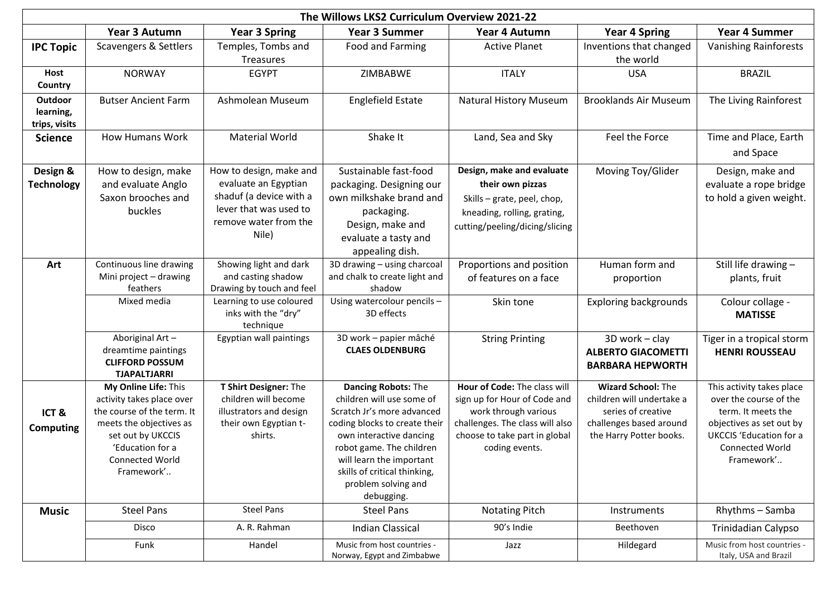| The Willows LKS2 Curriculum Overview 2021-22 |                                                                                                                                                                                             |                                                                                                                                        |                                                                                                                                                                                                                                                                                |                                                                                                                                                                            |                                                                                                                                    |                                                                                                                                                                                 |
|----------------------------------------------|---------------------------------------------------------------------------------------------------------------------------------------------------------------------------------------------|----------------------------------------------------------------------------------------------------------------------------------------|--------------------------------------------------------------------------------------------------------------------------------------------------------------------------------------------------------------------------------------------------------------------------------|----------------------------------------------------------------------------------------------------------------------------------------------------------------------------|------------------------------------------------------------------------------------------------------------------------------------|---------------------------------------------------------------------------------------------------------------------------------------------------------------------------------|
|                                              | Year 3 Autumn                                                                                                                                                                               | <b>Year 3 Spring</b>                                                                                                                   | <b>Year 3 Summer</b>                                                                                                                                                                                                                                                           | Year 4 Autumn                                                                                                                                                              | <b>Year 4 Spring</b>                                                                                                               | <b>Year 4 Summer</b>                                                                                                                                                            |
| <b>IPC Topic</b>                             | Scavengers & Settlers                                                                                                                                                                       | Temples, Tombs and<br>Treasures                                                                                                        | Food and Farming                                                                                                                                                                                                                                                               | <b>Active Planet</b>                                                                                                                                                       | Inventions that changed<br>the world                                                                                               | <b>Vanishing Rainforests</b>                                                                                                                                                    |
| Host<br>Country                              | <b>NORWAY</b>                                                                                                                                                                               | <b>EGYPT</b>                                                                                                                           | ZIMBABWE                                                                                                                                                                                                                                                                       | <b>ITALY</b>                                                                                                                                                               | <b>USA</b>                                                                                                                         | <b>BRAZIL</b>                                                                                                                                                                   |
| Outdoor<br>learning,<br>trips, visits        | <b>Butser Ancient Farm</b>                                                                                                                                                                  | Ashmolean Museum                                                                                                                       | <b>Englefield Estate</b>                                                                                                                                                                                                                                                       | <b>Natural History Museum</b>                                                                                                                                              | <b>Brooklands Air Museum</b>                                                                                                       | The Living Rainforest                                                                                                                                                           |
| <b>Science</b>                               | <b>How Humans Work</b>                                                                                                                                                                      | <b>Material World</b>                                                                                                                  | Shake It                                                                                                                                                                                                                                                                       | Land, Sea and Sky                                                                                                                                                          | Feel the Force                                                                                                                     | Time and Place, Earth<br>and Space                                                                                                                                              |
| Design &<br><b>Technology</b>                | How to design, make<br>and evaluate Anglo<br>Saxon brooches and<br>buckles                                                                                                                  | How to design, make and<br>evaluate an Egyptian<br>shaduf (a device with a<br>lever that was used to<br>remove water from the<br>Nile) | Sustainable fast-food<br>packaging. Designing our<br>own milkshake brand and<br>packaging.<br>Design, make and<br>evaluate a tasty and<br>appealing dish.                                                                                                                      | Design, make and evaluate<br>their own pizzas<br>Skills - grate, peel, chop,<br>kneading, rolling, grating,<br>cutting/peeling/dicing/slicing                              | Moving Toy/Glider                                                                                                                  | Design, make and<br>evaluate a rope bridge<br>to hold a given weight.                                                                                                           |
| Art                                          | Continuous line drawing<br>Mini project - drawing<br>feathers                                                                                                                               | Showing light and dark<br>and casting shadow<br>Drawing by touch and feel                                                              | 3D drawing - using charcoal<br>and chalk to create light and<br>shadow                                                                                                                                                                                                         | Proportions and position<br>of features on a face                                                                                                                          | Human form and<br>proportion                                                                                                       | Still life drawing -<br>plants, fruit                                                                                                                                           |
|                                              | Mixed media                                                                                                                                                                                 | Learning to use coloured<br>inks with the "dry"<br>technique                                                                           | Using watercolour pencils -<br>3D effects                                                                                                                                                                                                                                      | Skin tone                                                                                                                                                                  | <b>Exploring backgrounds</b>                                                                                                       | Colour collage -<br><b>MATISSE</b>                                                                                                                                              |
|                                              | Aboriginal Art-<br>dreamtime paintings<br><b>CLIFFORD POSSUM</b><br><b>TJAPALTJARRI</b>                                                                                                     | Egyptian wall paintings                                                                                                                | 3D work - papier mâché<br><b>CLAES OLDENBURG</b>                                                                                                                                                                                                                               | <b>String Printing</b>                                                                                                                                                     | 3D work - clay<br><b>ALBERTO GIACOMETTI</b><br><b>BARBARA HEPWORTH</b>                                                             | Tiger in a tropical storm<br><b>HENRI ROUSSEAU</b>                                                                                                                              |
| ICT&<br><b>Computing</b>                     | My Online Life: This<br>activity takes place over<br>the course of the term. It<br>meets the objectives as<br>set out by UKCCIS<br>'Education for a<br><b>Connected World</b><br>Framework' | T Shirt Designer: The<br>children will become<br>illustrators and design<br>their own Egyptian t-<br>shirts.                           | <b>Dancing Robots: The</b><br>children will use some of<br>Scratch Jr's more advanced<br>coding blocks to create their<br>own interactive dancing<br>robot game. The children<br>will learn the important<br>skills of critical thinking,<br>problem solving and<br>debugging. | Hour of Code: The class will<br>sign up for Hour of Code and<br>work through various<br>challenges. The class will also<br>choose to take part in global<br>coding events. | <b>Wizard School: The</b><br>children will undertake a<br>series of creative<br>challenges based around<br>the Harry Potter books. | This activity takes place<br>over the course of the<br>term. It meets the<br>objectives as set out by<br><b>UKCCIS</b> 'Education for a<br><b>Connected World</b><br>Framework' |
| <b>Music</b>                                 | <b>Steel Pans</b>                                                                                                                                                                           | <b>Steel Pans</b>                                                                                                                      | <b>Steel Pans</b>                                                                                                                                                                                                                                                              | <b>Notating Pitch</b>                                                                                                                                                      | Instruments                                                                                                                        | Rhythms - Samba                                                                                                                                                                 |
|                                              | Disco                                                                                                                                                                                       | A. R. Rahman                                                                                                                           | <b>Indian Classical</b>                                                                                                                                                                                                                                                        | 90's Indie                                                                                                                                                                 | Beethoven                                                                                                                          | Trinidadian Calypso                                                                                                                                                             |
|                                              | Funk                                                                                                                                                                                        | Handel                                                                                                                                 | Music from host countries -<br>Norway, Egypt and Zimbabwe                                                                                                                                                                                                                      | Jazz                                                                                                                                                                       | Hildegard                                                                                                                          | Music from host countries -<br>Italy, USA and Brazil                                                                                                                            |